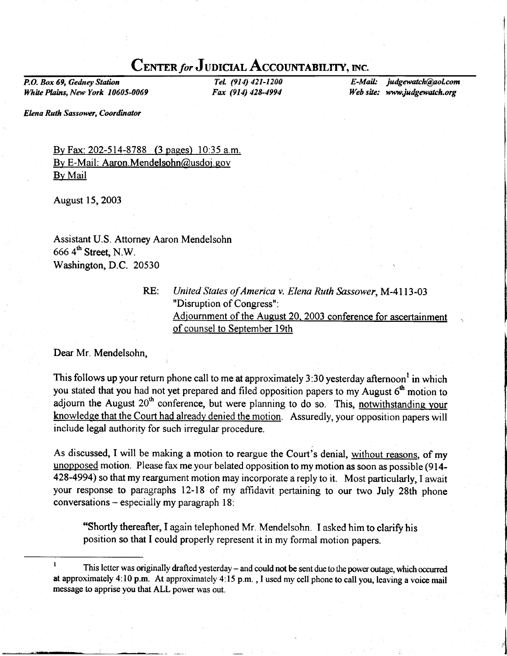# CENTER for JUDICIAL ACCOUNTABILITY, INC.

P.O. Box 69, Gedney Station White Plains, New York 10605-0069

TeL (914) 421-1200 Fax (914) 428-4994

E-Mail: judgewatch@aol.com Web site: www.judgewatch.org

> i I ,'1

Elena Ruth Sassower, Coordinator

By Fax: 202-514-8788 (3 pages) 10:35 a.m. By E-Mail: Aaron.Mendelsohn@usdoj.gov By Mail

August 15,2003

Assistant U.S. Attorney Aaron Mendelsohn  $6664^{\text{th}}$  Street, N.W. Washington, D.C. 20530

RE:

## United States of America v. Elena Ruth Sassower, M-4113-03 "Disruption of Congress" : Adjournment of the August 20. 2003 conference for ascertainment of counsel to September 19th

Dear Mr. Mendelsohn,

This follows up your return phone call to me at approximately 3:30 yesterday afternoon<sup>1</sup> in which you stated that you had not yet prepared and filed opposition papers to my August  $6<sup>th</sup>$  motion to adjourn the August  $20<sup>th</sup>$  conference, but were planning to do so. This, notwithstanding your knowledge that the Court had already denied the motion. Assuredly, your opposition papers will include legal authority for such irregular procedure.

As discussed, I will be making a motion to reargue the Court's denial, without reasons, of my unopposed motion. Please fax me your belated opposition to my motion as soon as possible (914- 428-4994) so that my reargument motion may incorporate a reply to it. Most particularly, I await your response to paragraphs 12-18 of my affidavit pertaining to our two July 28th phone conversations  $-$  especially my paragraph 18:

"Shortly thereafter, I again telephoned Mr. Mendelsohn. Iasked him to clarify his position so that I could properly represent it in my formal motion papers.

<sup>&</sup>lt;sup>1</sup> This letter was originally drafted yesterday – and could not be sent due to the power outage, which occurred at approximately 4:10 p.m. At approximately 4:15 p.m. , I used my cell phone to call you, leaving a voice mail message to apprise you that ALL power was out.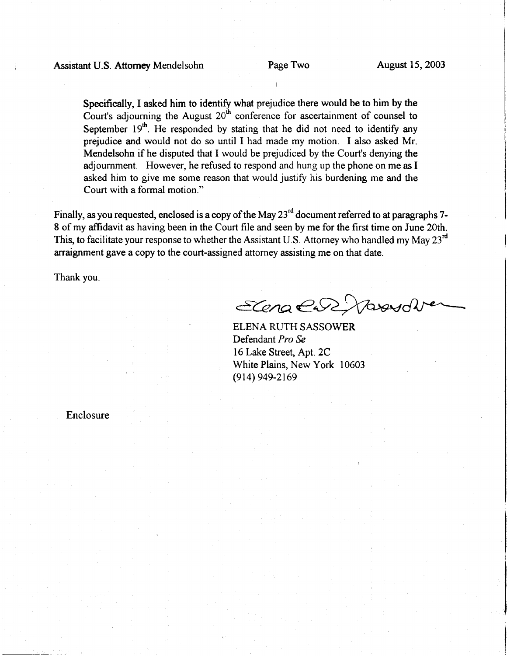Specifically, I asked him to identify what prejudice there would be to him by the Court's adjourning the August  $20<sup>th</sup>$  conference for ascertainment of counsel to September  $19<sup>th</sup>$ . He responded by stating that he did not need to identify any prejudice and would not do so until I had made my motion. I also asked Mr. Mendelsohn if he disputed that I would be prejudiced by the Court's denying the adjournment. However, he refused to respond and hung up the phone on me as I asked him to give me some reason that would justify his burdening me and the Court with a formal motion."

Finally, as you requested, enclosed is a copy of the May 23<sup>rd</sup> document referred to at paragraphs 7-8 of my affidavit as having been in the Court file and seen by me for the first time on June 20th. This, to facilitate your response to whether the Assistant U.S. Attorney who handled my May  $23^{\text{rd}}$ arraignment gave a copy to the court-assigned attorney assisting me on that date.

Thank you.

ECena en Stand

ELENA RUTH SASSOWER Defendant Pro Se 16 Lake Street, Apt.2C White Plains, New York 10603 (914) 949-2169

Enclosure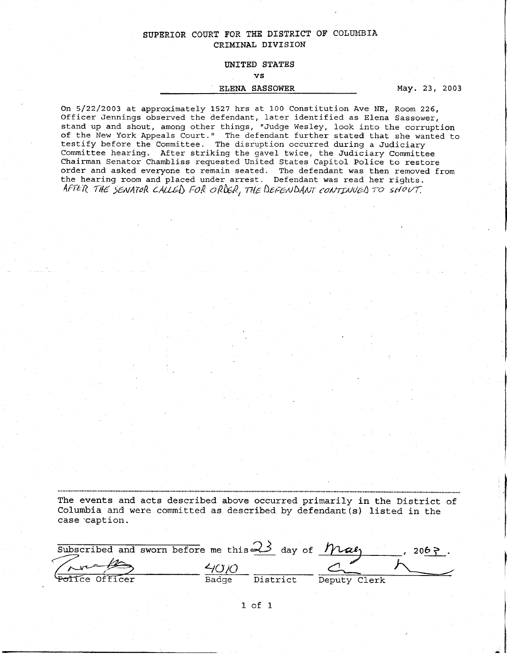### SUPERIOR COURT FOR THE DISTRICT OF COLUMBIA CRIMTNAL DIVISION

#### UNITED STATES

vs

#### ELENA SASSOWER

May. 23, 2003

On 5/22/2003 at approximately 1527 hrs at 100 Constitution Ave NE, Room 226, Officer Jennings observed the defendant, later identified as Elena Sassower, stand up and shout, among other things, "Judge Wesley, look into the corrupti of the New York Appeals Court." The defendant further stated that she wanted to testify before the Committee. The disruption occurred during a Judicia Committee hearing. After striking the gavel twice, the Judiciary Committee Chairman Senator Chambliss requested United States Capitol Police to restore order and asked everyone to remain seated. The defendant was then removed from the hearing room and placed under arrest. Defendant was read her right AFTER THE SENATOR CALLED FOR ORDER, THE DEFENDANT CONTINUED TO SHOVT.

The events and aets described above occurred primarily in the District of Columbia and were committed as described by defendant(s) listed in the case 'caption.

|                | Subscribed and sworn before me this $\prec$ day of $\neg$ $\neg$ |          |              | $206 \ge$ |
|----------------|------------------------------------------------------------------|----------|--------------|-----------|
|                |                                                                  |          |              |           |
| Police Officer | Badge                                                            | District | Deputy Clerk |           |

1 of 1